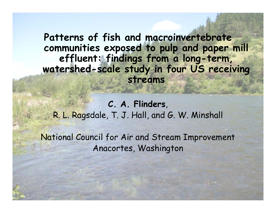**Patterns of fish and macroinvertebrate communities exposed to pulp and paper mill effluent: findings from a long-term,**  watershed-scale study in four US receiving **streams**

**C. A. Flinders**, R. L. Ra gsdale, T. J. Hall, and G. W. Minshall

National Council for Air and Stream Improvement Anacortes, Washington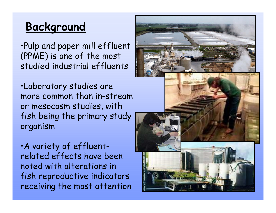# **Background**

•Pulp and paper mill effluent (PPME) is one of the most studied industrial effluents

•Laboratory studies are more common than in-stream or mesocosm studies, with fish being the primary study organism

•A variety of effluent related effects have been noted with alterations in fish reproductive indicators receiving the most attention

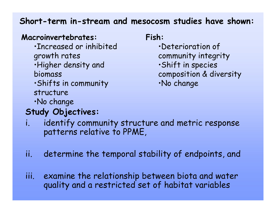#### **Short-term in-stream and mesocosm studies have shown:**

#### Macroinvertebrates: Fish:

- •Increased or inhibited growth rates
- •Higher density and Higher •Shift in species biomass
- •Shifts in community structure
- •No change

## **Study Objectives:**

- •Deterioration of
- community integrity
- 
- composition & diversity
- •No change

- i. identify community structure and metric response patterns relative to PPME,
- ii. determine the temporal stability of endpoints, and
- iii. examine the relationship between biota and water quality and a restricted set of habitat variables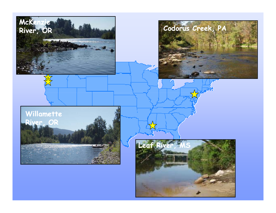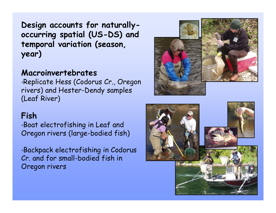**Design accounts for naturallyoccurrin g p s patial (US-DS) and temporal variation (season, year)**

#### **Macroinvertebrates**

•Replicate Hess (Codorus Cr., Oregon rivers) and Hester-Dendy samples (Leaf River)

#### **Fish**

•Boat electrofishing in Leaf and Oregon rivers (large-bodied fish)

•Backpack electrofishing in Codorus Cr. and for small-bodied fish in Oregon rivers



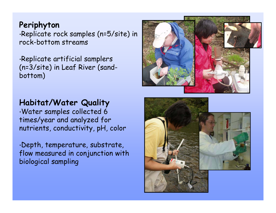#### **Periphyton**

•Replicate rock samples (n=5/site) in rock-bottom streams

•Replicate artificial samplers  $(n=3/site)$  in Leaf River (sandbottom)

#### **Habitat/Water Quality**

•Water samples collected 6 times/year and analyzed for nutrients, conductivity, pH, color

 $\cdot$ Depth, temperature, substrate, flow measured in conjunction with biological sampling

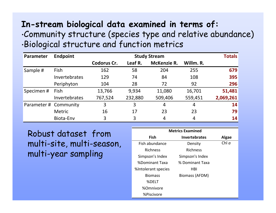#### **In-stream biological data examined in terms of:**

#### •Community structure (species type and relative abundance) •Biological structure and function metrics

| <b>Parameter</b>      | <b>Endpoint</b> | <b>Study Stream</b> |         |                    |           | <b>Totals</b> |
|-----------------------|-----------------|---------------------|---------|--------------------|-----------|---------------|
|                       |                 | <b>Codorus Cr.</b>  | Leaf R. | <b>McKenzie R.</b> | Willm. R. |               |
| Sample #              | <b>Fish</b>     | 162                 | 58      | 204                | 255       | 679           |
|                       | Invertebrates   | 129                 | 74      | 84                 | 108       | 395           |
|                       | Periphyton      | 104                 | 28      | 72                 | 92        | 296           |
| Specimen#             | Fish            | 13,766              | 9,934   | 11,080             | 16,701    | 51,481        |
|                       | Invertebrates   | 767,524             | 232,880 | 509,406            | 559,451   | 2,069,261     |
| Parameter # Community |                 | 3                   | 3       | 4                  | 4         | 14            |
|                       | <b>Metric</b>   | 16                  | 17      | 23                 | 23        | 79            |
|                       | Biota-Env       | 3                   | 3       | 4                  | 4         | 14            |

Robust dataset from multi-site, multi-season, Fish abundance Density<br>multi-year sampling simpson's Index Simpson's Index

| <b>Metrics Examined</b> |                      |              |  |  |  |  |
|-------------------------|----------------------|--------------|--|--|--|--|
| Fish                    | <b>Invertebrates</b> | <b>Algae</b> |  |  |  |  |
| Fish abundance          | Density              | Chl $a$      |  |  |  |  |
| <b>Richness</b>         | <b>Richness</b>      |              |  |  |  |  |
| Simpson's Index         | Simpson's Index      |              |  |  |  |  |
| %Dominant Taxa          | % Dominant Taxa      |              |  |  |  |  |
| %Intolerant species     | HBI                  |              |  |  |  |  |
| <b>Biomass</b>          | Biomass (AFDM)       |              |  |  |  |  |
| %DELT                   |                      |              |  |  |  |  |
| %Omnivore               |                      |              |  |  |  |  |
| %Piscivore              |                      |              |  |  |  |  |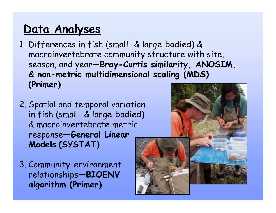# **Data Analyses**

- 1. Differences in fish (small- & large-bodied) & macroinvertebrate community structure with site, season, and year-Bray-Curtis similarity, ANOSIM, **& non-metric multidimensional scaling (MDS) (Primer)**
- 2. Spatial and temporal variation in fish (small- & large-bodied) & macroinvertebrate metric response—**General Linear Models (SYSTAT)**
- 3. Community-environment relationships—**BIOENV algorithm (Primer)**

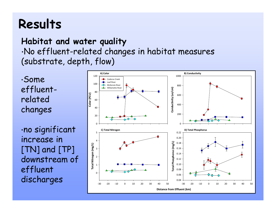# **Results**

#### **Habitat and water quality**

•No effluent-related changes in habitat measures (substrate, de pth, flow)

•Some effluentrelated changes

•no significant increase in  $[TN]$  and  $[TP]$ downstream of effluent discharges

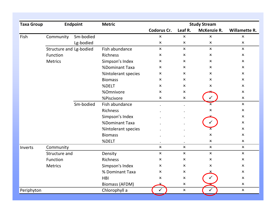| <b>Taxa Group</b> | <b>Endpoint</b>         |           | <b>Metric</b>         | <b>Study Stream</b>       |                           |                           |                           |
|-------------------|-------------------------|-----------|-----------------------|---------------------------|---------------------------|---------------------------|---------------------------|
|                   |                         |           |                       | Codorus Cr.               | Leaf R.                   | McKenzie R.               | Willamette R.             |
| Fish              | Community               | Sm-bodied |                       | $\boldsymbol{\mathsf{x}}$ | $\mathsf{x}$              | $\mathsf{x}$              | $\pmb{\times}$            |
|                   |                         | Lg-bodied |                       | $\pmb{\times}$            | $\pmb{\times}$            | $\pmb{\times}$            | $\boldsymbol{\mathsf{x}}$ |
|                   | Structure and Lg-bodied |           | Fish abundance        | $\mathsf{x}$              | $\mathsf{x}$              | $\mathsf{x}$              | $\mathsf{x}$              |
|                   | Function                |           | <b>Richness</b>       | $\boldsymbol{\mathsf{x}}$ | $\boldsymbol{\mathsf{x}}$ | $\boldsymbol{\mathsf{x}}$ | $\boldsymbol{\mathsf{x}}$ |
|                   | <b>Metrics</b>          |           | Simpson's Index       | $\boldsymbol{\mathsf{x}}$ | $\boldsymbol{\mathsf{x}}$ | $\boldsymbol{\mathsf{x}}$ | $\boldsymbol{\mathsf{x}}$ |
|                   |                         |           | %Dominant Taxa        | $\boldsymbol{\mathsf{x}}$ | $\mathsf{x}$              | $\boldsymbol{\mathsf{x}}$ | $\boldsymbol{\mathsf{x}}$ |
|                   |                         |           | %Intolerant species   | $\boldsymbol{\mathsf{x}}$ | $\boldsymbol{\mathsf{x}}$ | $\boldsymbol{\mathsf{x}}$ | $\boldsymbol{\mathsf{x}}$ |
|                   |                         |           | <b>Biomass</b>        | $\boldsymbol{\mathsf{x}}$ | $\mathsf{x}$              | $\mathsf{x}$              | $\boldsymbol{\mathsf{x}}$ |
|                   |                         |           | %DELT                 | $\mathsf{x}$              | $\mathsf{x}$              | x                         | $\pmb{\times}$            |
|                   |                         |           | %Omnivore             | $\boldsymbol{\mathsf{x}}$ | $\boldsymbol{\mathsf{x}}$ |                           | $\boldsymbol{\mathsf{x}}$ |
|                   |                         |           | %Piscivore            | $\pmb{\times}$            | $\pmb{\times}$            |                           | $\pmb{\times}$            |
|                   |                         | Sm-bodied | Fish abundance        | $\bullet$                 | $\bullet$                 | $\boldsymbol{\mathsf{x}}$ | $\pmb{\times}$            |
|                   |                         |           | Richness              |                           |                           | $\mathsf{x}$              | $\boldsymbol{\mathsf{x}}$ |
|                   |                         |           | Simpson's Index       |                           |                           |                           | $\boldsymbol{\mathsf{x}}$ |
|                   |                         |           | %Dominant Taxa        |                           |                           |                           | $\boldsymbol{\mathsf{x}}$ |
|                   |                         |           | %Intolerant species   |                           |                           |                           | $\pmb{\times}$            |
|                   |                         |           | <b>Biomass</b>        |                           |                           | $\pmb{\times}$            | $\boldsymbol{\mathsf{x}}$ |
|                   |                         |           | %DELT                 |                           |                           | $\boldsymbol{\mathsf{x}}$ | $\boldsymbol{\mathsf{x}}$ |
| Inverts           | Community               |           |                       | $\pmb{\times}$            | $\mathsf{x}$              | $\mathsf{x}$              | $\pmb{\times}$            |
|                   | Structure and           |           | Density               | $\boldsymbol{\mathsf{x}}$ | $\pmb{\times}$            | $\pmb{\times}$            | $\mathsf{x}$              |
|                   | Function                |           | <b>Richness</b>       | $\boldsymbol{\mathsf{x}}$ | $\boldsymbol{\mathsf{x}}$ | $\boldsymbol{\mathsf{x}}$ | $\pmb{\times}$            |
|                   | <b>Metrics</b>          |           | Simpson's Index       | $\pmb{\times}$            | $\mathsf{x}$              | x                         | $\mathsf{x}$              |
|                   |                         |           | % Dominant Taxa       | $\pmb{\times}$            | $\pmb{\times}$            |                           | $\pmb{\times}$            |
|                   |                         |           | <b>HBI</b>            | $\boldsymbol{\mathsf{x}}$ | $\pmb{\times}$            |                           | $\pmb{\times}$            |
|                   |                         |           | <b>Biomass (AFDM)</b> |                           | X.                        |                           | $\pmb{\times}$            |
| Periphyton        |                         |           | Chlorophyll a         | $\checkmark$              | $\pmb{\times}$            | ✓                         | $\pmb{\times}$            |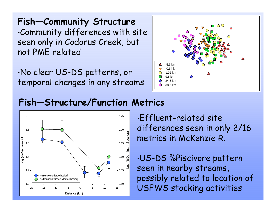### **Fish—Community Structure**

•Community differences with site seen only in Codorus Creek, but<br>not PME related

•No clear US-DS patterns, or temporal changes in any streams



### **Fish—Structure/Function Metrics**



•Effluent -related site differences seen in only 2/16 metrics in McKenzie R.

•US-DS %Piscivore pattern seen in nearby streams,  $\frac{\% \text{Piscivore (large-bodied)}\ \text{Noninant Species (small-bodied)} }{\text{Nonlinear Species (small-bodied)} }$   $\frac{\text{T}}{\text{T}}$  ,  $\frac{\text{T}}{\text{T}}$  ,  $\frac{\text{T}}{\text{D}}$  ,  $\frac{\text{T}}{\text{D}}$  ,  $\frac{\text{T}}{\text{D}}$  ,  $\frac{\text{T}}{\text{D}}$  ,  $\frac{\text{T}}{\text{D}}$  ,  $\frac{\text{T}}{\text{D}}$  ,  $\frac{\text{T}}{\text{D}}$  ,  $\frac{\text{T}}{\text{D}}$  ,  $\frac{\text{T}}{\text{D}}$  USFWS stocking activities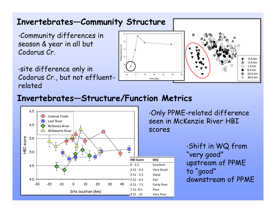#### **Invertebrates—Community Structure**  $\cdot$ Community differences in  $\qquad \qquad \vert$   $\degree$ season & year in all but Temperature (C) Temperature (C) 14Codorus Cr.  $12$ ·site difference only in 8Codorus Cr., but not effluent- <u>La de la de Contestance de la de la pro</u>ier de la desertación de la desertació<br>Nelated

**Invertebrates—Structure/Function Metrics**



•Only PPME-related difference seen in McKenzie River HBI<br>scores

> •Shift in WQ from "very good" upstream of PPME to "good " good downstream of PPME

-5.6 km-0.6 km1.9 km

9.6 km24.6 km38.6 km

∩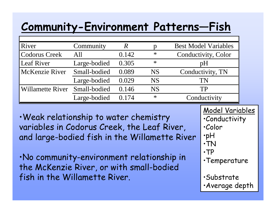# **Community-Environment Patterns—Fish**

| River                   | Community    |       |           | <b>Best Model Variables</b> |
|-------------------------|--------------|-------|-----------|-----------------------------|
| Codorus Creek           | All          | 0.142 | $\ast$    | Conductivity, Color         |
| Leaf River              | Large-bodied | 0.305 | $\ast$    | pH                          |
| McKenzie River          | Small-bodied | 0.089 | <b>NS</b> | Conductivity, TN            |
|                         | Large-bodied | 0.029 | <b>NS</b> | TN                          |
| <b>Willamette River</b> | Small-bodied | 0.146 | <b>NS</b> | TP                          |
|                         | Large-bodied | 0.174 | $\ast$    | Conductivity                |

•Weak relationship to water chemistry variables in Codorus Creek, the Leaf River, and large-bodied fish in the Willamette River

•No community-environment relationship in the McKenzie River, or with small-bodied fish in the Willamette River. The substrate

Model Variables

- •Conductivity
- •Color
- •pH
- •TN
- •TP
- •Temperature
- 
- •Average depth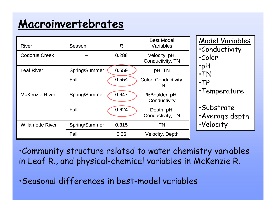# **Macroinvertebrates**

| <b>River</b>            | Season               | R     | <b>Best Model</b><br><b>Variables</b> | Model Variables<br><i>Conductivity</i>    |  |
|-------------------------|----------------------|-------|---------------------------------------|-------------------------------------------|--|
| <b>Codorus Creek</b>    |                      | 0.288 | Velocity, pH,<br>Conductivity, TN     | .Color                                    |  |
| <b>Leaf River</b>       | Spring/Summer        | 0.559 | pH, TN                                | $\cdot$ pH<br>$\cdot$ TN                  |  |
|                         | Fall                 | 0.554 | Color, Conductivity,<br>TN            | $\cdot$ TP                                |  |
| <b>McKenzie River</b>   | <b>Spring/Summer</b> | 0.647 | %Boulder, pH,<br>Conductivity         | •Temperature                              |  |
|                         | Fall                 | 0.624 | Depth, pH,<br>Conductivity, TN        | <i><b>Substrate</b></i><br>·Average depth |  |
| <b>Willamette River</b> | Spring/Summer        | 0.315 | <b>TN</b>                             | ·Velocity                                 |  |
|                         | Fall                 | 0.36  | <b>Velocity, Depth</b>                |                                           |  |

•Community structure related to water chemistry variables in Leaf R., and physical-chemical variables in McKenzie R.

•Seasonal differences in best-model variables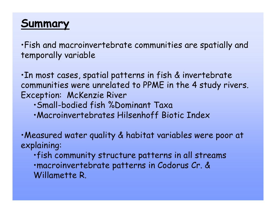## **Summary**

•Fish and macroinvertebrate communities are spatially and temporally variable

•In most cases, spatial patterns in fish & invertebrate communities were unrelated to PPME in the 4 study rivers. Exception: McKenzie River

- •Small-bodied fish %Dominant Taxa
- •Macroinvertebrates Hilsenhoff Biotic Index

•Measured water quality & habitat variables were poor at explaining:

•fish community structure patterns in all streams •macroinvertebrate patterns in Codorus Cr. & Willamette R.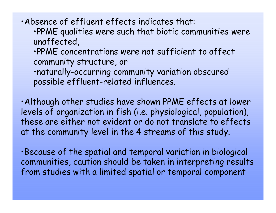•Absence of effluent effects indicates that:

•PPME qualities were such that biotic communities were unaffected,

•PPME concentrations were not sufficient to affect communit y structure, or

•naturally-occurring community variation obscured possible effluent-related influences.

•Although other studies have shown PPME effects at lower levels of organization in fish (i.e. physiological, population), these are either not evident or do not translate to effects at the community level in the 4 streams of this study.

•Because of the spatial and temporal variation in biological communities, caution should be taken in interpreting results from studies with a limited spatial or temporal component